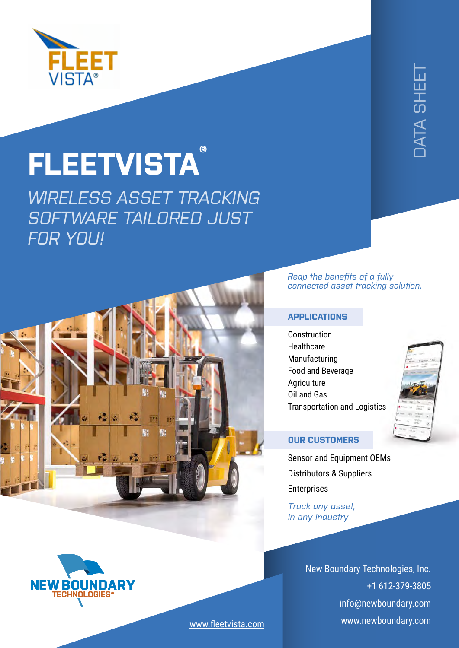

## **FLEETVISTA ®**

*WIRELESS ASSET TRACKING SOFTWARE TAILORED JUST FOR YOU!*



# [DATA SHEET](https://remoteaware.com/datasheets/) **JATA SHEE**

#### *Reap the benefits of a fully connected asset tracking solution.*

#### **APPLICATIONS**

**Construction Healthcare** Manufacturing Food and Beverage Agriculture Oil and Gas Transportation and Logistics



#### **OUR CUSTOMERS**

Sensor and Equipment OEM[s](https://remoteaware.com/fleetvista/) Distributors & Suppliers **Enterprises** 

*Track any asset, in any industry*

> [New Boundary Technologies, Inc.](https://www.newboundary.com/) +1 612-379-3805 info@newboundary.com www.newboundary.com



[www.fleetvista.com](https://remoteaware.com/fleetvista/)